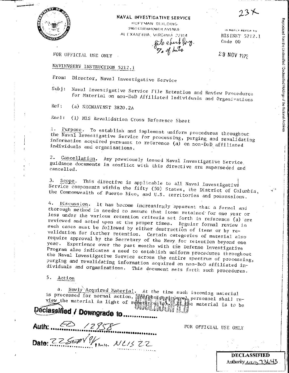

#### NAVAL INVESTIGATIVE SERVICE

HOFFMAN BUILDING 2461 EISENHOWER AVENUE ALEXANDRIA, VIRGINIA 22314 file epertofors.<br>To of hits

IN REPLY REFER TO

NISINST 5212.1 Code 00

29 NOV 1972

FOR OFFICIAL USE ONLY

## NAVINVSERV INSTRUCTION 5212.1

Director, Naval Investigative Service From:

Naval Investigative Service File Retention and Review Procedures  $Sub:$ for Material on non-DoD Affiliated Individuals and Organizations

Ref: (a) SECNAVINST 3820.2A

(1) NIS Revalidation Cross Reference Sheet Encl:

1. Purpose. To establish and implement uniform procedures throughout the Naval Investigative Service for processing, purging and revalidating information acquired pursuant to reference (a) on non-DoD affiliated individuals and organizations.

Cancellation. Any previously issued Naval Investigative Service.  $2.$ guidance documents in conflict with this directive are superseded and cancelled.

Scope. This directive is applicable to all Naval Investigative 3. Service components within the fifty (50) States, the District of Columbia, the Commonwealth of Puerto Rico, and U.S. territories and possessions.

Discussion. It has become increasingly apparent that a formal and 4. thorough method is needed to assure that items retained for one year or less under the various retention criteria set forth in reference (a) are reviewed and acted upon at the proper times. Regular formal review in such cases must be followed by either destruction of items or by revalidation for further retention. Certain categories of material also require approval by the Secretary of the Navy for retention beyond one year. Experience over the past months with the Defense Investigative Program also indicates a need to establish uniform procedures throughout the Naval Investigative Service across the entire spectrum of processing, purging and revalidating information acquired on non-DoD affiliated individuals and organizations. This document sets forth such procedures.

5. Action

Newly Acquired Material. At the time such incoming material a. is processed for normal action, we will garaged personnel shall review the material in light of research 謝熱歸e material is to be

Declassified / Downgrade to ...... Dato: 22500 Winn. NL1522

FOR OFFICIAL USE ONLY

**DECLASSIFIED** Authority <u>ハルトコろんり</u>る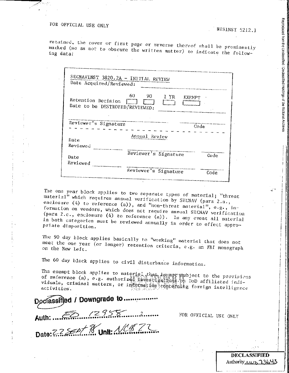Reproduced from the Unclassified / Declassified Holdings of the National Archives

retained, the cover or first page or reverse thereof shall be prominently marked (so as not to obscure the written matter) to indicate the follow-

| <b>EXEMPT</b> |
|---------------|
|               |
|               |
|               |
|               |
| Code          |
|               |
|               |
|               |
|               |
| Code          |
|               |
|               |

The one year block applies to two separate types of material; "threat material" which requires annual verification by SECNAV (para 2.a., enclosure (4) to reference (a)), and "non-threat material", e.g., information on vendors, which does not require annual SECNAV verification (para 2.c., enclosure (4) to reference (a)). In any event all material in both categories must be reviewed annually in order to effect appropriate disposition.

The 90 day block applies basically to "working" material that does not meet the one year (or longer) retention criteria, e.g. an FBI monograph on the New Left.

The 60 day block applies to civil disturbance information.

The exempt block applies to material that immer mubject to the provisions of reference (a), e.g. authorized investigations viduals, criminal matters, or information concerning foreign intelligence

classified / Downgrade to ....... Date: 2222011 N. Unit: Allenan

FOR OFFICIAL USE ONLY

**DECLASSIFIED** Authority 113643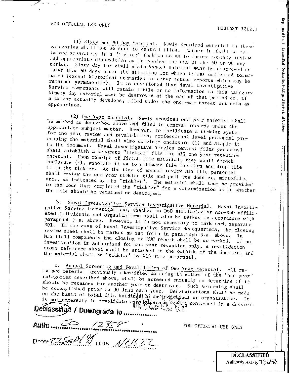Reproduced from the Unclassified / Declassified Holdings of the National Archives

(1) Sixty and 90 Day Material. Newly acquired material in those categories shall not be sent to central files. Rather It shall be retained separately in a "tickler" fashion so as to insure monthly review and appropriate alsposition as it reaches the end of the 60 or 90 day period. Sixty day (or civil disturbance) material must be destroyed no later than 60 days after the situation for which it was collected terminates (except historical summaries or after action reports which way be retained permanently). It is envisioned that Naval Investigative Service components will retain little or no information in this category. Ninety day material must be destroyed at the end of that period or, if a threat actually develops, filed under the one year threat criteria as

(2) One Year Material. Newly acquired one year material shall be marked as described above and filed in central records under the appropriate subject matter. However, to facilitate a tickler system for one year review and revalidation, professional level personnel processing the material shall also complete enclosure (1) and staple it to the document. Naval Investigative Service central files personnel shall establish a separate "tickler" file for all one year retention material. Upon receipt of finish file material, they shall detach enclosure (1), annotate it as to ultimate file location and drop file it in the tickler. At the time of annual review NIS file personnel shall review the one year tickler file and pull the dossier, microfilm, etc., as indicated by the "tickler". The material shall then be provided to the Code that completed the "tickler" for a determination as to whether the file should be retained or destroyed.

b. Naval Investigative Service Investigative Material. Naval Investigative Service investigations, whether on DoD affiliated or non-DoD affiliated individuals and organizations shall also be marked in accordance with paragraph 5.a. above. However, it is not necessary to mark each separate ROI. In the case of Naval Investigative Service Headquarters, the closing review sheet shall be marked as set forth in paragraph 5.a. above. In NIS field components the closing or RUC report shall be so marked. If an investigation is authorized for one year retention only, a revalidation cross reference sheet shall be attached to the outside of the dossier, and the material shall be "tickled" by NIS file personnel.

c. Annual Screening and Revalidation of One Year Material. All retained material previously identified as being in either of the "one year" categories described above, shall be screened annually to determine if it should be retained for another year or destroyed. Such screening shall be accomplished prior to 30 June each year. Determinations shall be made on the basis of total file holding of the architectural or organization. It is not necessary to revalidate each separate report contained in a dossier.

eclassified / Downgrade to.... Auth:  $\epsilon$  $2758$ Daven ZZSED V 11. NC/522

FOR OFFICIAL USE ONLY

**DECLASSIFIED** Authority 112643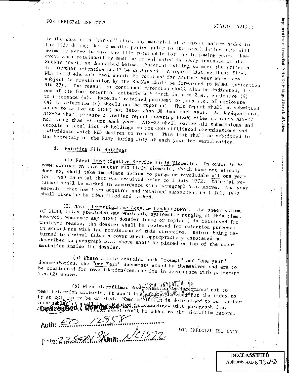in the case of a "threat" file, any material of a threat nature added to the iffe during the 42 months period prior to the revalidation date will normally serve to make the Ille retainable for the following year. Rowever, such retainability must be re-validated in every instance at the SecNav level, as described below. Material failing to meet the criteria for further retention shall be destroyed. A report listing those files NIS field elements feel should be retained for another year which are subject to revalidation by the SecNav shall be forwarded to NISHQ (attention  $NIS-27$ ). The reason for continued retention shall also be indicated, i.e., one of the four retention criteria set forth in para 2.a., enclosure (4) to reference (a). Material retained pursuant to para 2.c. of enclosure (4) to reference (a) should not be reported. This report shall be submitted so as to arrive at NISHQ not later than 30 June each year. At Headquarters, NIS-34 shall prepare a similar report covering NISHQ files to reach NIS-27 not later than 30 June each year. NIS-27 shall review all submissions and compile a total list of holdings on non-DoD affiliated organizations and individuals which NIS desires to retain. This list shall be submitted to the Secretary of the Navy during July of each year for verification.

#### $d_{\star}$ Existing File Holdings

(1) Naval Investigative Service Field Elements. In order to become current on this matter NIS field elements, which have not already done so, shall take immediate action to purge or revalidate all one year (or less) material that was acquired prior to 1 July 1972. Material retained shall be marked in accordance with paragraph 5.a. above. One year material that has been acquired and retained subsequent to 1 July 1972 shall likewise be identified and marked.

(2) Naval Investigative Service Headquarters. The sheer volume of NISHO files precludes any wholesale systematic purging at this time. However, whenever any NISHQ dossier (name or topical) is retrieved for whatever reason, the dossier shall be reviewed for retention purposes in accordance with the provisions of this directive. Before being returned to central files a cover sheet appropriately annotated as described in paragraph 5.a. above shall be placed on top of the documentation inside the dossier.

(a) Where a file contains both "exempt" and "one year" documentation, the "One Year" documents stand by themselves and are to be considered for revalidation/destruction in accordance with paragraph  $5.a.(2) above.$ 

(b) When microfilmed documentarious on criteria in the control of the case of the case of the case of the case of the case of the case of the case of the case of the case of the case of the case of the case of the case of meet retention criteria, it shall be the comparison when we that the index to 4. dardtmined not to it at DCI is to be deleted. When midtofilm is determined to be further retainable it shall and delayed in smoondance with paragraph 5.a.<br>appelsseling Jimming sheet shall be added to the microfilm record.

Auth: <del>Communication</del>

FOR OFFICIAL USE ONLY

**DECLASSIFIED** Authority AINS 73643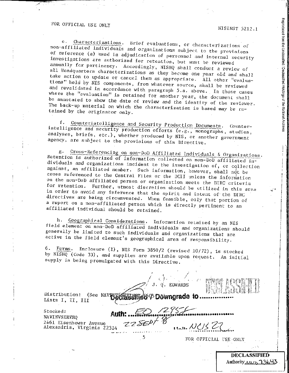Reproduced from the Unclassified / Declassified Holdings of the National Archives

Characterizations. Brief evaluations, or characterizations of  $e_{\infty}$ non-affiliated individuals and organizations subject to the provisions of reference (a) used in adjudication of personnel and internal security investigations are authorized for retention, but must be reviewed annually for pertinency. Accordingly, NISHQ shall conduct a review of all Headquarters characterizations as they become one year old and shall take action to update or cancel them as appropriate. All other "evaluations" held by NIS components, from whatever source, shall be reviewed and revalidated in accordance with paragraph 5.a. above. In those cases where the "evaluation" is retained for another year, the document shall be annotated to show the date of review and the identity of the reviewer. The back-up material on which the characterization is based may be retained by the originator only.

f. Counterintelligence and Security Production Documents. Counterintelligence and security production efforts (e.g., monographs, studies, analyses, briefs, etc.), whether produced by NIS, or another government agency, are subject to the provisions of this Directive.

Cross-Referencing on non-DoD Affiliated Individuals & Organizations.  $8 -$ Retention is authorized of information collected on non-DoD affiliated individuals and organizations incident to the investigation of, or collection against, an affiliated member. Such information, however, shall not be cross referenced to the Central Files or the DCII unless the information on the non-DoD affiliated person or organization meets the DIRC criteria for retention. Further, utmost discretion should be utilized in this area in order to avoid any inference that the spirit and intent of the DIRC directives are being circumvented. When feasible, only that portion of a report on a non-affiliated person which is directly pertinent to an affiliated individual should be retained.

h. Geographical Considerations. Information retained by an NIS field element on non-DoD affiliated individuals and organizations should generally be limited to such individuals and organizations that are active in the field element's geographical area of responsibility.

Forms. Enclosure (1), NIS Form 3850/2 (revised 10/72), is stocked 6. by NISHQ (Code 33), and supplies are avaiiable upon request. An initial supply is being promulgated with this Directive.

 $J, Q.$  EDWARDS **HEISSING& 95 DOWNgrade to...** (See NAVINY Distribution: Lists I, II, III 255 September 1 Stocked: 2401 Eisenhower Avenue<br>Alexandria, Virginia 22314 ZZSED/ NAVINVSERVHQ  $11.4. NCS$  27

5

FOR OFFICIAL USE-ONLY

**DECLASSIFIED** Authority NN 73643